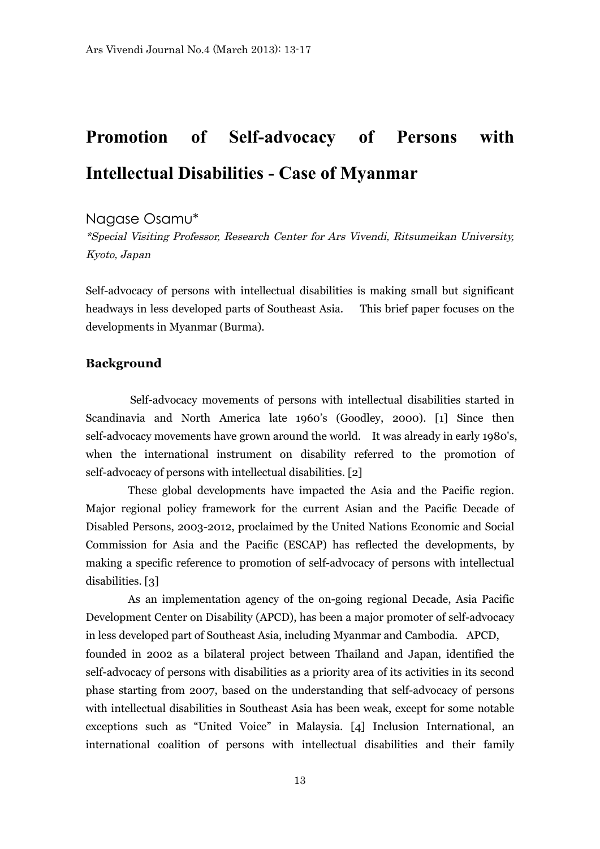# **Promotion of Self-advocacy of Persons with Intellectual Disabilities - Case of Myanmar**

## Nagase Osamu\*

\*Special Visiting Professor, Research Center for Ars Vivendi, Ritsumeikan University, Kyoto, Japan

Self-advocacy of persons with intellectual disabilities is making small but significant headways in less developed parts of Southeast Asia. This brief paper focuses on the developments in Myanmar (Burma).

### **Background**

Self-advocacy movements of persons with intellectual disabilities started in Scandinavia and North America late 1960's (Goodley, 2000). [1] Since then self-advocacy movements have grown around the world. It was already in early 1980's, when the international instrument on disability referred to the promotion of self-advocacy of persons with intellectual disabilities. [2]

These global developments have impacted the Asia and the Pacific region. Major regional policy framework for the current Asian and the Pacific Decade of Disabled Persons, 2003-2012, proclaimed by the United Nations Economic and Social Commission for Asia and the Pacific (ESCAP) has reflected the developments, by making a specific reference to promotion of self-advocacy of persons with intellectual disabilities. [3]

As an implementation agency of the on-going regional Decade, Asia Pacific Development Center on Disability (APCD), has been a major promoter of self-advocacy in less developed part of Southeast Asia, including Myanmar and Cambodia. APCD, founded in 2002 as a bilateral project between Thailand and Japan, identified the self-advocacy of persons with disabilities as a priority area of its activities in its second phase starting from 2007, based on the understanding that self-advocacy of persons with intellectual disabilities in Southeast Asia has been weak, except for some notable exceptions such as "United Voice" in Malaysia. [4] Inclusion International, an international coalition of persons with intellectual disabilities and their family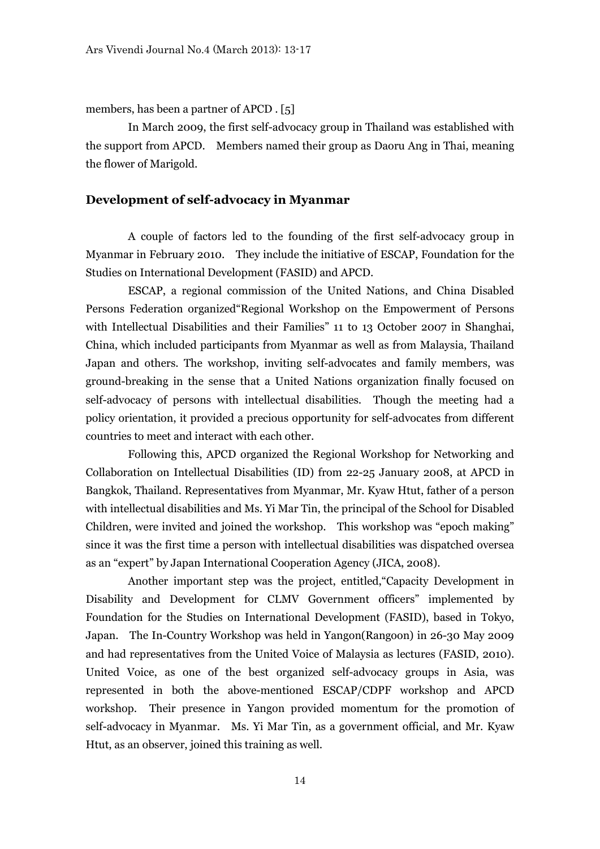members, has been a partner of APCD . [5]

In March 2009, the first self-advocacy group in Thailand was established with the support from APCD. Members named their group as Daoru Ang in Thai, meaning the flower of Marigold.

### **Development of self-advocacy in Myanmar**

 A couple of factors led to the founding of the first self-advocacy group in Myanmar in February 2010. They include the initiative of ESCAP, Foundation for the Studies on International Development (FASID) and APCD.

ESCAP, a regional commission of the United Nations, and China Disabled Persons Federation organized"Regional Workshop on the Empowerment of Persons with Intellectual Disabilities and their Families" 11 to 13 October 2007 in Shanghai, China, which included participants from Myanmar as well as from Malaysia, Thailand Japan and others. The workshop, inviting self-advocates and family members, was ground-breaking in the sense that a United Nations organization finally focused on self-advocacy of persons with intellectual disabilities. Though the meeting had a policy orientation, it provided a precious opportunity for self-advocates from different countries to meet and interact with each other.

Following this, APCD organized the Regional Workshop for Networking and Collaboration on Intellectual Disabilities (ID) from 22-25 January 2008, at APCD in Bangkok, Thailand. Representatives from Myanmar, Mr. Kyaw Htut, father of a person with intellectual disabilities and Ms. Yi Mar Tin, the principal of the School for Disabled Children, were invited and joined the workshop. This workshop was "epoch making" since it was the first time a person with intellectual disabilities was dispatched oversea as an "expert" by Japan International Cooperation Agency (JICA, 2008).

Another important step was the project, entitled,"Capacity Development in Disability and Development for CLMV Government officers" implemented by Foundation for the Studies on International Development (FASID), based in Tokyo, Japan. The In-Country Workshop was held in Yangon(Rangoon) in 26-30 May 2009 and had representatives from the United Voice of Malaysia as lectures (FASID, 2010). United Voice, as one of the best organized self-advocacy groups in Asia, was represented in both the above-mentioned ESCAP/CDPF workshop and APCD workshop. Their presence in Yangon provided momentum for the promotion of self-advocacy in Myanmar. Ms. Yi Mar Tin, as a government official, and Mr. Kyaw Htut, as an observer, joined this training as well.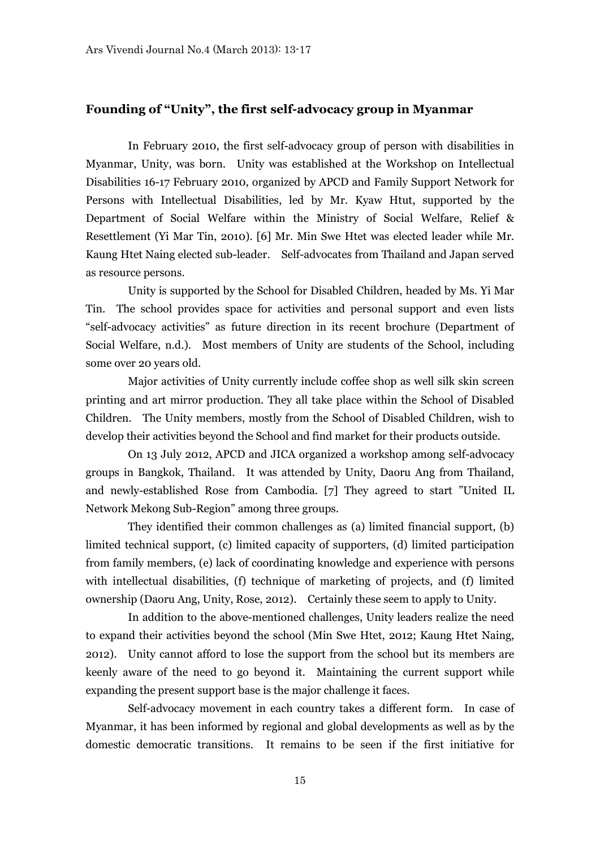#### **Founding of "Unity", the first self-advocacy group in Myanmar**

 In February 2010, the first self-advocacy group of person with disabilities in Myanmar, Unity, was born. Unity was established at the Workshop on Intellectual Disabilities 16-17 February 2010, organized by APCD and Family Support Network for Persons with Intellectual Disabilities, led by Mr. Kyaw Htut, supported by the Department of Social Welfare within the Ministry of Social Welfare, Relief & Resettlement (Yi Mar Tin, 2010). [6] Mr. Min Swe Htet was elected leader while Mr. Kaung Htet Naing elected sub-leader. Self-advocates from Thailand and Japan served as resource persons.

Unity is supported by the School for Disabled Children, headed by Ms. Yi Mar Tin. The school provides space for activities and personal support and even lists "self-advocacy activities" as future direction in its recent brochure (Department of Social Welfare, n.d.). Most members of Unity are students of the School, including some over 20 years old.

Major activities of Unity currently include coffee shop as well silk skin screen printing and art mirror production. They all take place within the School of Disabled Children. The Unity members, mostly from the School of Disabled Children, wish to develop their activities beyond the School and find market for their products outside.

On 13 July 2012, APCD and JICA organized a workshop among self-advocacy groups in Bangkok, Thailand. It was attended by Unity, Daoru Ang from Thailand, and newly-established Rose from Cambodia. [7] They agreed to start "United IL Network Mekong Sub-Region" among three groups.

They identified their common challenges as (a) limited financial support, (b) limited technical support, (c) limited capacity of supporters, (d) limited participation from family members, (e) lack of coordinating knowledge and experience with persons with intellectual disabilities, (f) technique of marketing of projects, and (f) limited ownership (Daoru Ang, Unity, Rose, 2012). Certainly these seem to apply to Unity.

In addition to the above-mentioned challenges, Unity leaders realize the need to expand their activities beyond the school (Min Swe Htet, 2012; Kaung Htet Naing, 2012). Unity cannot afford to lose the support from the school but its members are keenly aware of the need to go beyond it. Maintaining the current support while expanding the present support base is the major challenge it faces.

Self-advocacy movement in each country takes a different form. In case of Myanmar, it has been informed by regional and global developments as well as by the domestic democratic transitions. It remains to be seen if the first initiative for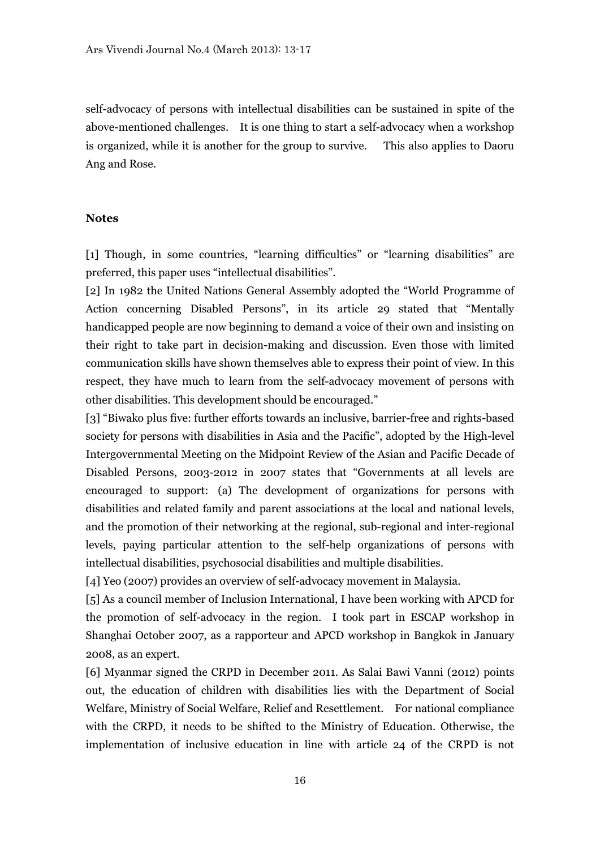self-advocacy of persons with intellectual disabilities can be sustained in spite of the above-mentioned challenges. It is one thing to start a self-advocacy when a workshop is organized, while it is another for the group to survive. This also applies to Daoru Ang and Rose.

#### **Notes**

[1] Though, in some countries, "learning difficulties" or "learning disabilities" are preferred, this paper uses "intellectual disabilities".

[2] In 1982 the United Nations General Assembly adopted the "World Programme of Action concerning Disabled Persons", in its article 29 stated that "Mentally handicapped people are now beginning to demand a voice of their own and insisting on their right to take part in decision-making and discussion. Even those with limited communication skills have shown themselves able to express their point of view. In this respect, they have much to learn from the self-advocacy movement of persons with other disabilities. This development should be encouraged."

[3] "Biwako plus five: further efforts towards an inclusive, barrier-free and rights-based society for persons with disabilities in Asia and the Pacific", adopted by the High-level Intergovernmental Meeting on the Midpoint Review of the Asian and Pacific Decade of Disabled Persons, 2003-2012 in 2007 states that "Governments at all levels are encouraged to support: (a) The development of organizations for persons with disabilities and related family and parent associations at the local and national levels, and the promotion of their networking at the regional, sub-regional and inter-regional levels, paying particular attention to the self-help organizations of persons with intellectual disabilities, psychosocial disabilities and multiple disabilities.

[4] Yeo (2007) provides an overview of self-advocacy movement in Malaysia.

[5] As a council member of Inclusion International, I have been working with APCD for the promotion of self-advocacy in the region. I took part in ESCAP workshop in Shanghai October 2007, as a rapporteur and APCD workshop in Bangkok in January 2008, as an expert.

[6] Myanmar signed the CRPD in December 2011. As Salai Bawi Vanni (2012) points out, the education of children with disabilities lies with the Department of Social Welfare, Ministry of Social Welfare, Relief and Resettlement. For national compliance with the CRPD, it needs to be shifted to the Ministry of Education. Otherwise, the implementation of inclusive education in line with article 24 of the CRPD is not